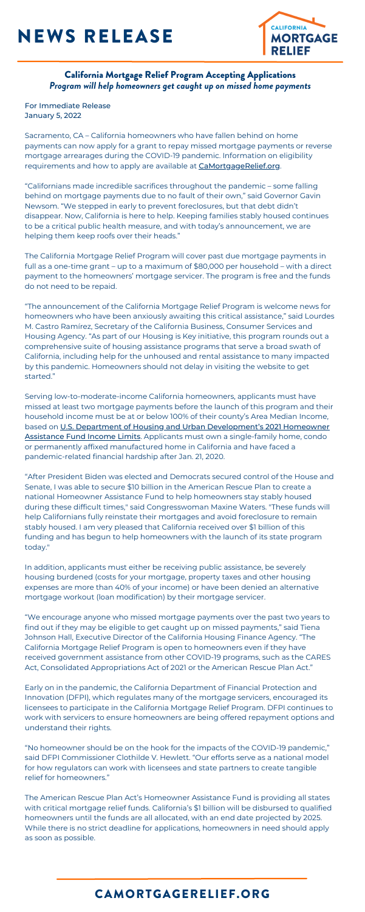## NEWS RELEASE



### California Mortgage Relief Program Accepting Applications *Program will help homeowners get caught up on missed home payments*

Sacramento, CA – California homeowners who have fallen behind on home payments can now apply for a grant to repay missed mortgage payments or reverse mortgage arrearages during the COVID-19 pandemic. Information on eligibility requirements and how to apply are available at **[CaMortgageRelief.org](https://camortgagerelief.org/)**.

### CAMORTGAGERELIEF.ORG

For Immediate Release January 5, 2022

"Californians made incredible sacrifices throughout the pandemic – some falling behind on mortgage payments due to no fault of their own," said Governor Gavin Newsom. "We stepped in early to prevent foreclosures, but that debt didn't disappear. Now, California is here to help. Keeping families stably housed continues to be a critical public health measure, and with today's announcement, we are helping them keep roofs over their heads."

The California Mortgage Relief Program will cover past due mortgage payments in full as a one-time grant – up to a maximum of \$80,000 per household – with a direct payment to the homeowners' mortgage servicer. The program is free and the funds do not need to be repaid.

"The announcement of the California Mortgage Relief Program is welcome news for homeowners who have been anxiously awaiting this critical assistance," said Lourdes M. Castro Ramírez, Secretary of the California Business, Consumer Services and Housing Agency. "As part of our Housing is Key initiative, this program rounds out a comprehensive suite of housing assistance programs that serve a broad swath of California, including help for the unhoused and rental assistance to many impacted by this pandemic. Homeowners should not delay in visiting the website to get started."

Serving low-to-moderate-income California homeowners, applicants must have missed at least two mortgage payments before the launch of this program and their household income must be at or below 100% of their county's Area Median Income, based on U.S. Department of Housing and Urban [Development's](https://www.huduser.gov/portal/datasets/il/il2021/select_Geography_haf.odn) 2021 Homeowner **Assistance Fund Income Limits**. Applicants must own a single-family home, condo or permanently affixed manufactured home in California and have faced a pandemic-related financial hardship after Jan. 21, 2020.

"After President Biden was elected and Democrats secured control of the House and Senate, I was able to secure \$10 billion in the American Rescue Plan to create a national Homeowner Assistance Fund to help homeowners stay stably housed during these difficult times," said Congresswoman Maxine Waters. "These funds will help Californians fully reinstate their mortgages and avoid foreclosure to remain stably housed. I am very pleased that California received over \$1 billion of this funding and has begun to help homeowners with the launch of its state program today."

In addition, applicants must either be receiving public assistance, be severely housing burdened (costs for your mortgage, property taxes and other housing expenses are more than 40% of your income) or have been denied an alternative mortgage workout (loan modification) by their mortgage servicer.

"We encourage anyone who missed mortgage payments over the past two years to find out if they may be eligible to get caught up on missed payments," said Tiena Johnson Hall, Executive Director of the California Housing Finance Agency. "The California Mortgage Relief Program is open to homeowners even if they have received government assistance from other COVID-19 programs, such as the CARES Act, Consolidated Appropriations Act of 2021 or the American Rescue Plan Act."

Early on in the pandemic, the California Department of Financial Protection and Innovation (DFPI), which regulates many of the mortgage servicers, encouraged its licensees to participate in the California Mortgage Relief Program. DFPI continues to work with servicers to ensure homeowners are being offered repayment options and understand their rights.

"No homeowner should be on the hook for the impacts of the COVID-19 pandemic," said DFPI Commissioner Clothilde V. Hewlett. "Our efforts serve as a national model for how regulators can work with licensees and state partners to create tangible relief for homeowners."

The American Rescue Plan Act's Homeowner Assistance Fund is providing all states with critical mortgage relief funds. California's \$1 billion will be disbursed to qualified homeowners until the funds are all allocated, with an end date projected by 2025. While there is no strict deadline for applications, homeowners in need should apply as soon as possible.